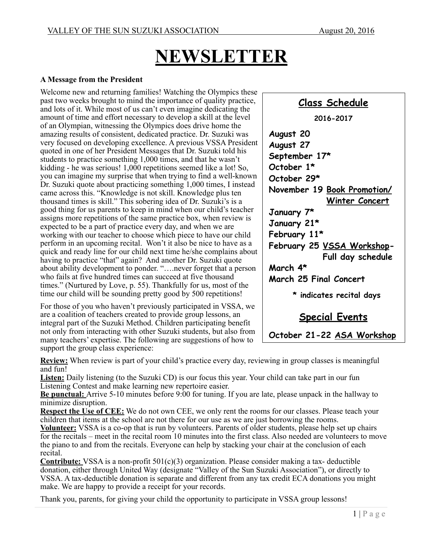# **NEWSLETTER**

#### **A Message from the President**

Welcome new and returning families! Watching the Olympics these past two weeks brought to mind the importance of quality practice, and lots of it. While most of us can't even imagine dedicating the amount of time and effort necessary to develop a skill at the level of an Olympian, witnessing the Olympics does drive home the amazing results of consistent, dedicated practice. Dr. Suzuki was very focused on developing excellence. A previous VSSA President quoted in one of her President Messages that Dr. Suzuki told his students to practice something 1,000 times, and that he wasn't kidding - he was serious! 1,000 repetitions seemed like a lot! So, you can imagine my surprise that when trying to find a well-known Dr. Suzuki quote about practicing something 1,000 times, I instead came across this. "Knowledge is not skill. Knowledge plus ten thousand times is skill." This sobering idea of Dr. Suzuki's is a good thing for us parents to keep in mind when our child's teacher assigns more repetitions of the same practice box, when review is expected to be a part of practice every day, and when we are working with our teacher to choose which piece to have our child perform in an upcoming recital. Won't it also be nice to have as a quick and ready line for our child next time he/she complains about having to practice "that" again? And another Dr. Suzuki quote about ability development to ponder. "….never forget that a person who fails at five hundred times can succeed at five thousand times." (Nurtured by Love, p. 55). Thankfully for us, most of the time our child will be sounding pretty good by 500 repetitions!

For those of you who haven't previously participated in VSSA, we are a coalition of teachers created to provide group lessons, an integral part of the Suzuki Method. Children participating benefit not only from interacting with other Suzuki students, but also from many teachers' expertise. The following are suggestions of how to support the group class experience:

### **Class Schedule**

**2016-2017 August 20 August 27 September 17\* October 1\* October 29\* November 19 Book Promotion/ Winter Concert January 7\* January 21\* February 11\* February 25 VSSA Workshop- Full day schedule March 4\* March 25 Final Concert \* indicates recital days**

**Special Events**

 **October 21-22 ASA Workshop**

**Review:** When review is part of your child's practice every day, reviewing in group classes is meaningful and fun!

**Listen:** Daily listening (to the Suzuki CD) is our focus this year. Your child can take part in our fun Listening Contest and make learning new repertoire easier.

**Be punctual:** Arrive 5-10 minutes before 9:00 for tuning. If you are late, please unpack in the hallway to minimize disruption.

**Respect the Use of CEE:** We do not own CEE, we only rent the rooms for our classes. Please teach your children that items at the school are not there for our use as we are just borrowing the rooms.

**Volunteer:** VSSA is a co-op that is run by volunteers. Parents of older students, please help set up chairs for the recitals – meet in the recital room 10 minutes into the first class. Also needed are volunteers to move the piano to and from the recitals. Everyone can help by stacking your chair at the conclusion of each recital.

**Contribute:** VSSA is a non-profit 501(c)(3) organization. Please consider making a tax- deductible donation, either through United Way (designate "Valley of the Sun Suzuki Association"), or directly to VSSA. A tax-deductible donation is separate and different from any tax credit ECA donations you might make. We are happy to provide a receipt for your records.

Thank you, parents, for giving your child the opportunity to participate in VSSA group lessons!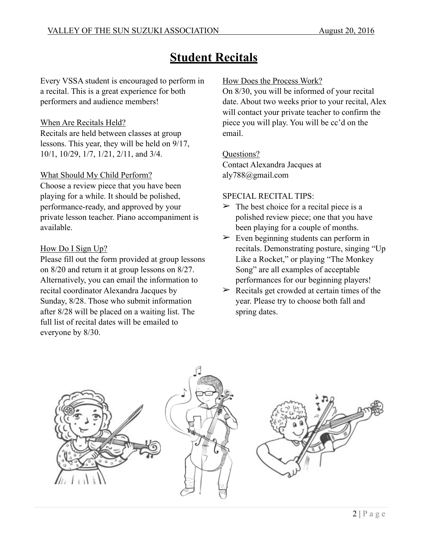# **Student Recitals**

Every VSSA student is encouraged to perform in a recital. This is a great experience for both performers and audience members!

#### When Are Recitals Held?

Recitals are held between classes at group lessons. This year, they will be held on 9/17, 10/1, 10/29, 1/7, 1/21, 2/11, and 3/4.

#### What Should My Child Perform?

Choose a review piece that you have been playing for a while. It should be polished, performance-ready, and approved by your private lesson teacher. Piano accompaniment is available.

#### How Do I Sign Up?

Please fill out the form provided at group lessons on 8/20 and return it at group lessons on 8/27. Alternatively, you can email the information to recital coordinator Alexandra Jacques by Sunday, 8/28. Those who submit information after 8/28 will be placed on a waiting list. The full list of recital dates will be emailed to everyone by 8/30.

#### How Does the Process Work?

On 8/30, you will be informed of your recital date. About two weeks prior to your recital, Alex will contact your private teacher to confirm the piece you will play. You will be cc'd on the email.

#### Questions?

Contact Alexandra Jacques at aly788@gmail.com

#### SPECIAL RECITAL TIPS:

- $\triangleright$  The best choice for a recital piece is a polished review piece; one that you have been playing for a couple of months.
- $\geq$  Even beginning students can perform in recitals. Demonstrating posture, singing "Up Like a Rocket," or playing "The Monkey Song" are all examples of acceptable performances for our beginning players!
- $\triangleright$  Recitals get crowded at certain times of the year. Please try to choose both fall and spring dates.

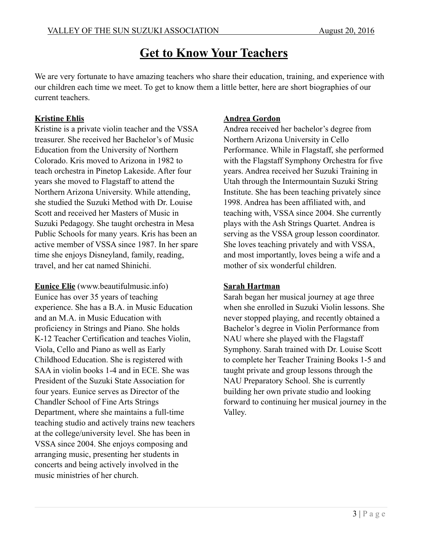# **Get to Know Your Teachers**

We are very fortunate to have amazing teachers who share their education, training, and experience with our children each time we meet. To get to know them a little better, here are short biographies of our current teachers.

#### **Kristine Ehlis**

Kristine is a private violin teacher and the VSSA treasurer. She received her Bachelor's of Music Education from the University of Northern Colorado. Kris moved to Arizona in 1982 to teach orchestra in Pinetop Lakeside. After four years she moved to Flagstaff to attend the Northern Arizona University. While attending, she studied the Suzuki Method with Dr. Louise Scott and received her Masters of Music in Suzuki Pedagogy. She taught orchestra in Mesa Public Schools for many years. Kris has been an active member of VSSA since 1987. In her spare time she enjoys Disneyland, family, reading, travel, and her cat named Shinichi.

**Eunice Elie** (www.beautifulmusic.info) Eunice has over 35 years of teaching experience. She has a B.A. in Music Education and an M.A. in Music Education with proficiency in Strings and Piano. She holds K-12 Teacher Certification and teaches Violin, Viola, Cello and Piano as well as Early Childhood Education. She is registered with SAA in violin books 1-4 and in ECE. She was President of the Suzuki State Association for four years. Eunice serves as Director of the Chandler School of Fine Arts Strings Department, where she maintains a full-time teaching studio and actively trains new teachers at the college/university level. She has been in VSSA since 2004. She enjoys composing and arranging music, presenting her students in concerts and being actively involved in the music ministries of her church.

#### **Andrea Gordon**

Andrea received her bachelor's degree from Northern Arizona University in Cello Performance. While in Flagstaff, she performed with the Flagstaff Symphony Orchestra for five years. Andrea received her Suzuki Training in Utah through the Intermountain Suzuki String Institute. She has been teaching privately since 1998. Andrea has been affiliated with, and teaching with, VSSA since 2004. She currently plays with the Ash Strings Quartet. Andrea is serving as the VSSA group lesson coordinator. She loves teaching privately and with VSSA, and most importantly, loves being a wife and a mother of six wonderful children.

#### **Sarah Hartman**

Sarah began her musical journey at age three when she enrolled in Suzuki Violin lessons. She never stopped playing, and recently obtained a Bachelor's degree in Violin Performance from NAU where she played with the Flagstaff Symphony. Sarah trained with Dr. Louise Scott to complete her Teacher Training Books 1-5 and taught private and group lessons through the NAU Preparatory School. She is currently building her own private studio and looking forward to continuing her musical journey in the Valley.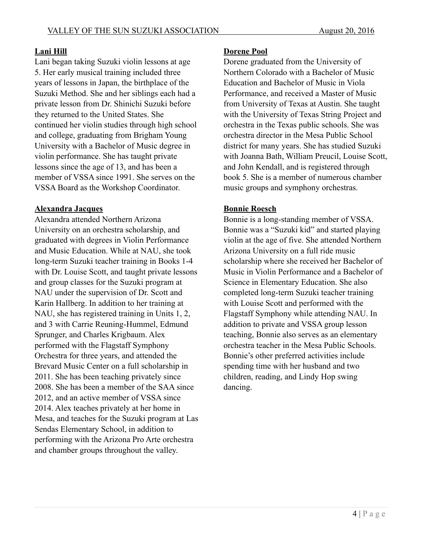#### **Lani Hill**

Lani began taking Suzuki violin lessons at age 5. Her early musical training included three years of lessons in Japan, the birthplace of the Suzuki Method. She and her siblings each had a private lesson from Dr. Shinichi Suzuki before they returned to the United States. She continued her violin studies through high school and college, graduating from Brigham Young University with a Bachelor of Music degree in violin performance. She has taught private lessons since the age of 13, and has been a member of VSSA since 1991. She serves on the VSSA Board as the Workshop Coordinator.

#### **Alexandra Jacques**

Alexandra attended Northern Arizona University on an orchestra scholarship, and graduated with degrees in Violin Performance and Music Education. While at NAU, she took long-term Suzuki teacher training in Books 1-4 with Dr. Louise Scott, and taught private lessons and group classes for the Suzuki program at NAU under the supervision of Dr. Scott and Karin Hallberg. In addition to her training at NAU, she has registered training in Units 1, 2, and 3 with Carrie Reuning-Hummel, Edmund Sprunger, and Charles Krigbaum. Alex performed with the Flagstaff Symphony Orchestra for three years, and attended the Brevard Music Center on a full scholarship in 2011. She has been teaching privately since 2008. She has been a member of the SAA since 2012, and an active member of VSSA since 2014. Alex teaches privately at her home in Mesa, and teaches for the Suzuki program at Las Sendas Elementary School, in addition to performing with the Arizona Pro Arte orchestra and chamber groups throughout the valley.

#### **Dorene Pool**

Dorene graduated from the University of Northern Colorado with a Bachelor of Music Education and Bachelor of Music in Viola Performance, and received a Master of Music from University of Texas at Austin. She taught with the University of Texas String Project and orchestra in the Texas public schools. She was orchestra director in the Mesa Public School district for many years. She has studied Suzuki with Joanna Bath, William Preucil, Louise Scott, and John Kendall, and is registered through book 5. She is a member of numerous chamber music groups and symphony orchestras.

#### **Bonnie Roesch**

Bonnie is a long-standing member of VSSA. Bonnie was a "Suzuki kid" and started playing violin at the age of five. She attended Northern Arizona University on a full ride music scholarship where she received her Bachelor of Music in Violin Performance and a Bachelor of Science in Elementary Education. She also completed long-term Suzuki teacher training with Louise Scott and performed with the Flagstaff Symphony while attending NAU. In addition to private and VSSA group lesson teaching, Bonnie also serves as an elementary orchestra teacher in the Mesa Public Schools. Bonnie's other preferred activities include spending time with her husband and two children, reading, and Lindy Hop swing dancing.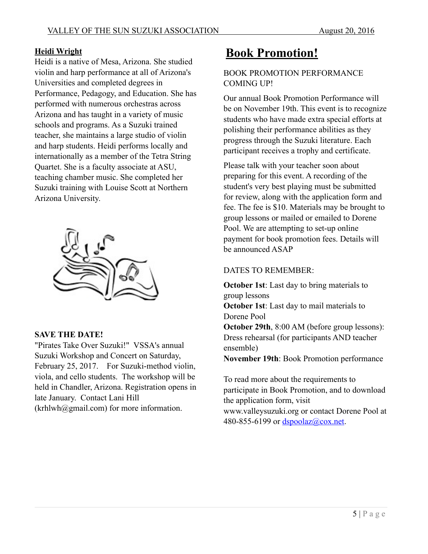#### **Heidi Wright**

Heidi is a native of Mesa, Arizona. She studied violin and harp performance at all of Arizona's Universities and completed degrees in Performance, Pedagogy, and Education. She has performed with numerous orchestras across Arizona and has taught in a variety of music schools and programs. As a Suzuki trained teacher, she maintains a large studio of violin and harp students. Heidi performs locally and internationally as a member of the Tetra String Quartet. She is a faculty associate at ASU, teaching chamber music. She completed her Suzuki training with Louise Scott at Northern Arizona University.



#### **SAVE THE DATE!**

"Pirates Take Over Suzuki!" VSSA's annual Suzuki Workshop and Concert on Saturday, February 25, 2017. For Suzuki-method violin, viola, and cello students. The workshop will be held in Chandler, Arizona. Registration opens in late January. Contact Lani Hill  $(krhlwh@gmail.com)$  for more information.

# **Book Promotion!**

#### BOOK PROMOTION PERFORMANCE COMING UP!

Our annual Book Promotion Performance will be on November 19th. This event is to recognize students who have made extra special efforts at polishing their performance abilities as they progress through the Suzuki literature. Each participant receives a trophy and certificate.

Please talk with your teacher soon about preparing for this event. A recording of the student's very best playing must be submitted for review, along with the application form and fee. The fee is \$10. Materials may be brought to group lessons or mailed or emailed to Dorene Pool. We are attempting to set-up online payment for book promotion fees. Details will be announced ASAP

#### DATES TO REMEMBER:

**October 1st**: Last day to bring materials to group lessons **October 1st**: Last day to mail materials to Dorene Pool **October 29th**, 8:00 AM (before group lessons): Dress rehearsal (for participants AND teacher ensemble) **November 19th**: Book Promotion performance

To read more about the requirements to participate in Book Promotion, and to download the application form, visit www.valleysuzuki.org or contact Dorene Pool at 480-855-6199 or **dspoolaz@cox.net**.